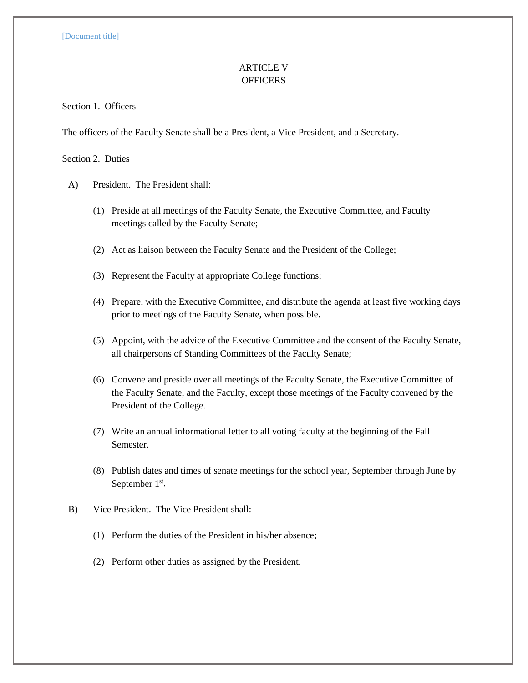## ARTICLE V **OFFICERS**

Section 1. Officers

The officers of the Faculty Senate shall be a President, a Vice President, and a Secretary.

Section 2. Duties

- A) President. The President shall:
	- (1) Preside at all meetings of the Faculty Senate, the Executive Committee, and Faculty meetings called by the Faculty Senate;
	- (2) Act as liaison between the Faculty Senate and the President of the College;
	- (3) Represent the Faculty at appropriate College functions;
	- (4) Prepare, with the Executive Committee, and distribute the agenda at least five working days prior to meetings of the Faculty Senate, when possible.
	- (5) Appoint, with the advice of the Executive Committee and the consent of the Faculty Senate, all chairpersons of Standing Committees of the Faculty Senate;
	- (6) Convene and preside over all meetings of the Faculty Senate, the Executive Committee of the Faculty Senate, and the Faculty, except those meetings of the Faculty convened by the President of the College.
	- (7) Write an annual informational letter to all voting faculty at the beginning of the Fall Semester.
	- (8) Publish dates and times of senate meetings for the school year, September through June by September 1<sup>st</sup>.
- B) Vice President. The Vice President shall:
	- (1) Perform the duties of the President in his/her absence;
	- (2) Perform other duties as assigned by the President.